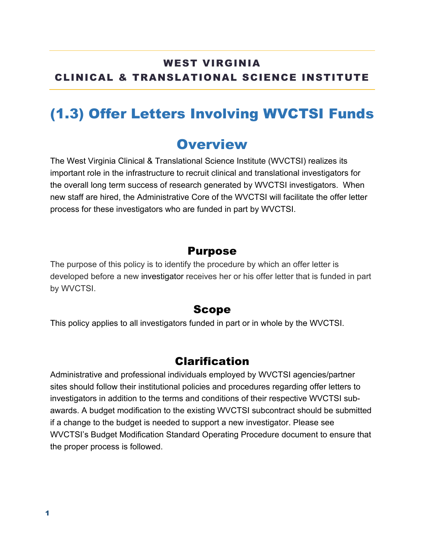#### WEST VIRGINIA CLINICAL & TRANSLATIONAL SCIENCE INSTITUTE

# (1.3) Offer Letters Involving WVCTSI Funds

### **Overview**

The West Virginia Clinical & Translational Science Institute (WVCTSI) realizes its important role in the infrastructure to recruit clinical and translational investigators for the overall long term success of research generated by WVCTSI investigators. When new staff are hired, the Administrative Core of the WVCTSI will facilitate the offer letter process for these investigators who are funded in part by WVCTSI.

#### Purpose

The purpose of this policy is to identify the procedure by which an offer letter is developed before a new investigator receives her or his offer letter that is funded in part by WVCTSI.

#### Scope

This policy applies to all investigators funded in part or in whole by the WVCTSI.

#### Clarification

Administrative and professional individuals employed by WVCTSI agencies/partner sites should follow their institutional policies and procedures regarding offer letters to investigators in addition to the terms and conditions of their respective WVCTSI subawards. A budget modification to the existing WVCTSI subcontract should be submitted if a change to the budget is needed to support a new investigator. Please see WVCTSI's Budget Modification Standard Operating Procedure document to ensure that the proper process is followed.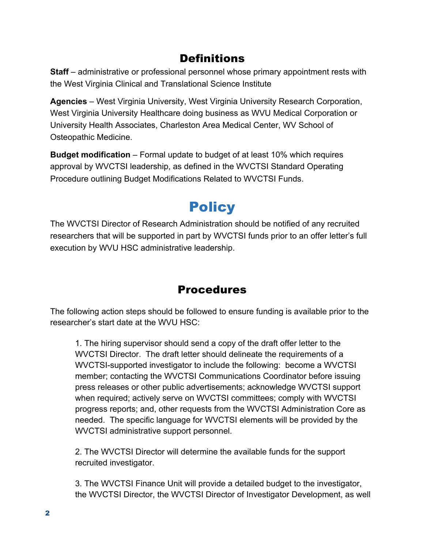### **Definitions**

**Staff** – administrative or professional personnel whose primary appointment rests with the West Virginia Clinical and Translational Science Institute

**Agencies** – West Virginia University, West Virginia University Research Corporation, West Virginia University Healthcare doing business as WVU Medical Corporation or University Health Associates, Charleston Area Medical Center, WV School of Osteopathic Medicine.

**Budget modification** – Formal update to budget of at least 10% which requires approval by WVCTSI leadership, as defined in the WVCTSI Standard Operating Procedure outlining Budget Modifications Related to WVCTSI Funds.

# **Policy**

The WVCTSI Director of Research Administration should be notified of any recruited researchers that will be supported in part by WVCTSI funds prior to an offer letter's full execution by WVU HSC administrative leadership.

### Procedures

The following action steps should be followed to ensure funding is available prior to the researcher's start date at the WVU HSC:

1. The hiring supervisor should send a copy of the draft offer letter to the WVCTSI Director. The draft letter should delineate the requirements of a WVCTSI-supported investigator to include the following: become a WVCTSI member; contacting the WVCTSI Communications Coordinator before issuing press releases or other public advertisements; acknowledge WVCTSI support when required; actively serve on WVCTSI committees; comply with WVCTSI progress reports; and, other requests from the WVCTSI Administration Core as needed. The specific language for WVCTSI elements will be provided by the WVCTSI administrative support personnel.

2. The WVCTSI Director will determine the available funds for the support recruited investigator.

3. The WVCTSI Finance Unit will provide a detailed budget to the investigator, the WVCTSI Director, the WVCTSI Director of Investigator Development, as well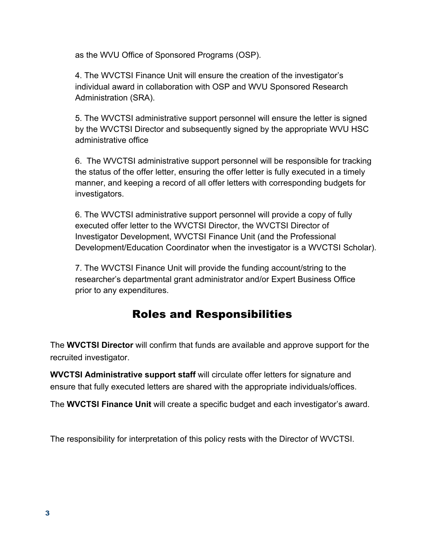as the WVU Office of Sponsored Programs (OSP).

4. The WVCTSI Finance Unit will ensure the creation of the investigator's individual award in collaboration with OSP and WVU Sponsored Research Administration (SRA).

5. The WVCTSI administrative support personnel will ensure the letter is signed by the WVCTSI Director and subsequently signed by the appropriate WVU HSC administrative office

6. The WVCTSI administrative support personnel will be responsible for tracking the status of the offer letter, ensuring the offer letter is fully executed in a timely manner, and keeping a record of all offer letters with corresponding budgets for investigators.

6. The WVCTSI administrative support personnel will provide a copy of fully executed offer letter to the WVCTSI Director, the WVCTSI Director of Investigator Development, WVCTSI Finance Unit (and the Professional Development/Education Coordinator when the investigator is a WVCTSI Scholar).

7. The WVCTSI Finance Unit will provide the funding account/string to the researcher's departmental grant administrator and/or Expert Business Office prior to any expenditures.

#### Roles and Responsibilities

The **WVCTSI Director** will confirm that funds are available and approve support for the recruited investigator.

**WVCTSI Administrative support staff** will circulate offer letters for signature and ensure that fully executed letters are shared with the appropriate individuals/offices.

The **WVCTSI Finance Unit** will create a specific budget and each investigator's award.

The responsibility for interpretation of this policy rests with the Director of WVCTSI.